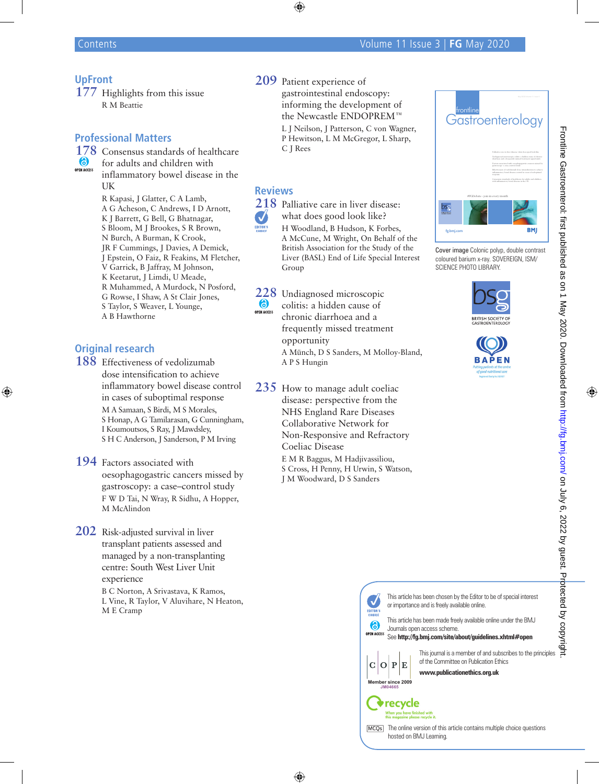### **UpFront**

**177** Highlights from this issue R M Beattie

#### **Professional Matters**

**178** Consensus standards of healthcare<br> **6** for adults and children with for adults and children with **OPEN ACCESS** inflammatory bowel disease in the

> UK R Kapasi, J Glatter, C A Lamb, A G Acheson, C Andrews, I D Arnott, K J Barrett, G Bell, G Bhatnagar, S Bloom, M J Brookes, S R Brown, N Burch, A Burman, K Crook, JR F Cummings, J Davies, A Demick, J Epstein, O Faiz, R Feakins, M Fletcher, V Garrick, B Jaffray, M Johnson, K Keetarut, J Limdi, U Meade, R Muhammed, A Murdock, N Posford, G Rowse, I Shaw, A St Clair Jones, S Taylor, S Weaver, L Younge, A B Hawthorne

# **Original research**

**188** Effectiveness of vedolizumab dose intensification to achieve inflammatory bowel disease control in cases of suboptimal response M A Samaan, S Birdi, M S Morales, S Honap, A G Tamilarasan, G Cunningham, I Koumoutsos, S Ray, J Mawdsley, S H C Anderson, J Sanderson, P M Irving

- **194** Factors associated with oesophagogastric cancers missed by gastroscopy: a case–control study F W D Tai, N Wray, R Sidhu, A Hopper, M McAlindon
- **202** Risk-adjusted survival in liver transplant patients assessed and managed by a non-transplanting centre: South West Liver Unit experience B C Norton, A Srivastava, K Ramos, L Vine, R Taylor, V Aluvihare, N Heaton, M E Cramp

**209** Patient experience of gastrointestinal endoscopy: informing the development of the Newcastle ENDOPREM™

L J Neilson, J Patterson, C von Wagner, P Hewitson, L M McGregor, L Sharp, C J Rees

#### **Reviews**

 $\boldsymbol{J}$ 

**218** Palliative care in liver disease: what does good look like? H Woodland, B Hudson, K Forbes, A McCune, M Wright, On Behalf of the British Association for the Study of the Liver (BASL) End of Life Special Interest Group

**228** Undiagnosed microscopic **(a)** colitis: a hidden cause of OPEN ACCESS chronic diarrhoea and a frequently missed treatment opportunity A Münch, D S Sanders, M Molloy-Bland, A P S Hungin

**235** How to manage adult coeliac disease: perspective from the NHS England Rare Diseases Collaborative Network for Non-Responsive and Refractory Coeliac Disease E M R Baggus, M Hadjivassiliou, S Cross, H Penny, H Urwin, S Watson,

J M Woodward, D S Sanders



Cover image Colonic polyp, double contrast coloured barium x-ray. SOVEREIGN, ISM/ SCIENCE PHOTO LIBRARY.







Journals open access scheme. **OPEN ACCESS** See **http://fg.bmj.com/site/about/guidelines.xhtml#open**

This journal is a member of and subscribes to the principles of the Committee on Publication Ethics  $C|O|P|E$ **www.publicationethics.org.uk**



 $\mathbf{v}$ 

 $\odot$ 





[MCO<sub>S</sub>] The online version of this article contains multiple choice questions hosted on BMJ Learning.